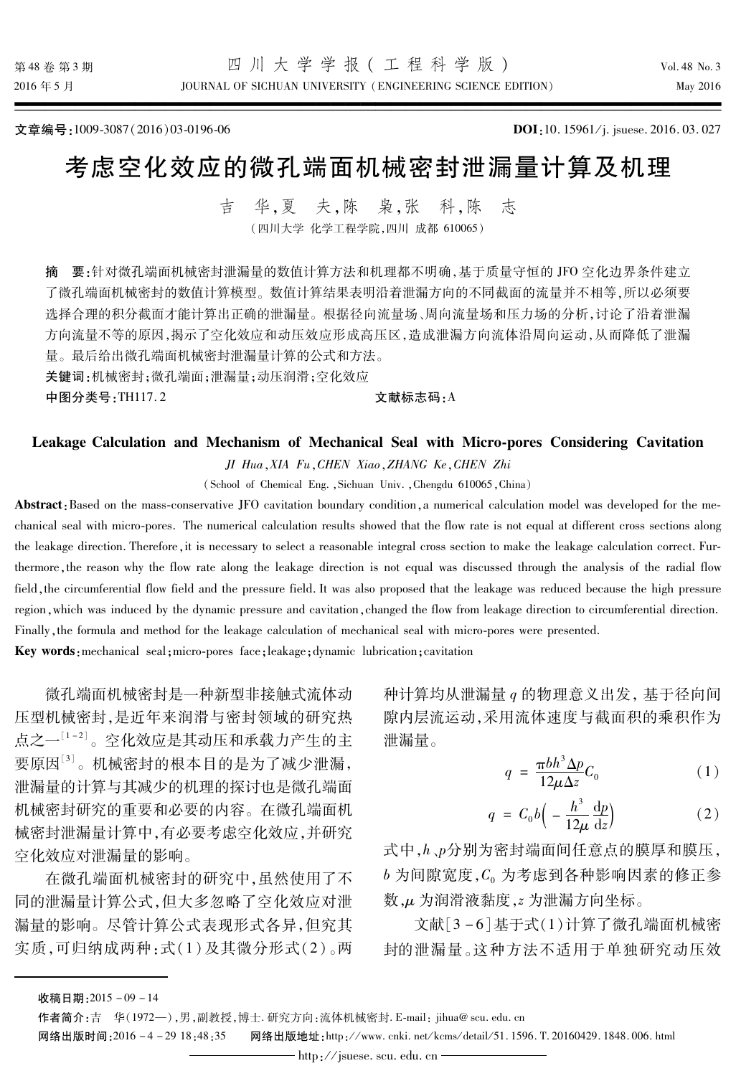JOURNAL OF SICHUAN UNIVERSITY (ENGINEERING SCIENCE EDITION)

文章编号:1009-3087(2016)03-0196-06

DOI:10.15961/j. jsuese. 2016.03.027

# 考虑空化效应的微孔端面机械密封泄漏量计算及机理

华.夏夫.陈 枭,张 吉 科.陈 志 (四川大学 化学工程学院,四川 成都 610065)

要:针对微孔端面机械密封泄漏量的数值计算方法和机理都不明确,基于质量守恒的 IFO 空化边界条件建立 摘 了微孔端面机械密封的数值计算模型。数值计算结果表明沿着泄漏方向的不同截面的流量并不相等,所以必须要 选择合理的积分截面才能计算出正确的泄漏量。根据径向流量场、周向流量场和压力场的分析,讨论了沿着泄漏 方向流量不等的原因,揭示了空化效应和动压效应形成高压区,造成泄漏方向流体沿周向运动,从而降低了泄漏 量。最后给出微孔端面机械密封泄漏量计算的公式和方法。

关键词:机械密封:微孔端面:泄漏量:动压润滑:空化效应

中图分类号:TH117.2

### 文献标志码: A

# Leakage Calculation and Mechanism of Mechanical Seal with Micro-pores Considering Cavitation

JI Hua, XIA Fu, CHEN Xiao, ZHANG Ke, CHEN Zhi

(School of Chemical Eng., Sichuan Univ., Chengdu 610065, China)

Abstract: Based on the mass-conservative JFO cavitation boundary condition, a numerical calculation model was developed for the mechanical seal with micro-pores. The numerical calculation results showed that the flow rate is not equal at different cross sections along the leakage direction. Therefore, it is necessary to select a reasonable integral cross section to make the leakage calculation correct. Furthermore, the reason why the flow rate along the leakage direction is not equal was discussed through the analysis of the radial flow field, the circumferential flow field and the pressure field. It was also proposed that the leakage was reduced because the high pressure region, which was induced by the dynamic pressure and cavitation, changed the flow from leakage direction to circumferential direction. Finally, the formula and method for the leakage calculation of mechanical seal with micro-pores were presented.

Key words: mechanical seal; micro-pores face; leakage; dynamic lubrication; cavitation

微孔端面机械密封是一种新型非接触式流体动 压型机械密封,是近年来润滑与密封领域的研究热 点之一[1-2]。空化效应是其动压和承载力产生的主 要原因[3]。机械密封的根本目的是为了减少泄漏, 泄漏量的计算与其减少的机理的探讨也是微孔端面 机械密封研究的重要和必要的内容。在微孔端面机 械密封泄漏量计算中,有必要考虑空化效应,并研究 空化效应对泄漏量的影响。

在微孔端面机械密封的研究中,虽然使用了不 同的泄漏量计算公式,但大多忽略了空化效应对泄 漏量的影响。尽管计算公式表现形式各异,但究其 实质,可归纳成两种:式(1)及其微分形式(2)。两 种计算均从泄漏量 q 的物理意义出发, 基于径向间 隙内层流运动,采用流体速度与截面积的乘积作为 泄漏量。

$$
q = \frac{\pi b h^3 \Delta p}{12 \mu \Delta z} C_0 \tag{1}
$$

$$
q = C_0 b \Big( - \frac{h^3}{12\mu} \frac{\mathrm{d}p}{\mathrm{d}z} \Big) \tag{2}
$$

式中,h、p分别为密封端面间任意点的膜厚和膜压, b为间隙宽度, C。为考虑到各种影响因素的修正参 数,µ为润滑液黏度,z 为泄漏方向坐标。

文献[3-6]基于式(1)计算了微孔端面机械密 封的泄漏量。这种方法不适用于单独研究动压效

收稿日期: 2015-09-14

作者简介:吉 华(1972-),男,副教授,博士.研究方向:流体机械密封. E-mail: jihua@ scu. edu. cn

网络出版时间: 2016 - 4-29 18:48:35 网络出版地址:http://www.cnki.net/kcms/detail/51.1596.T.20160429.1848.006.html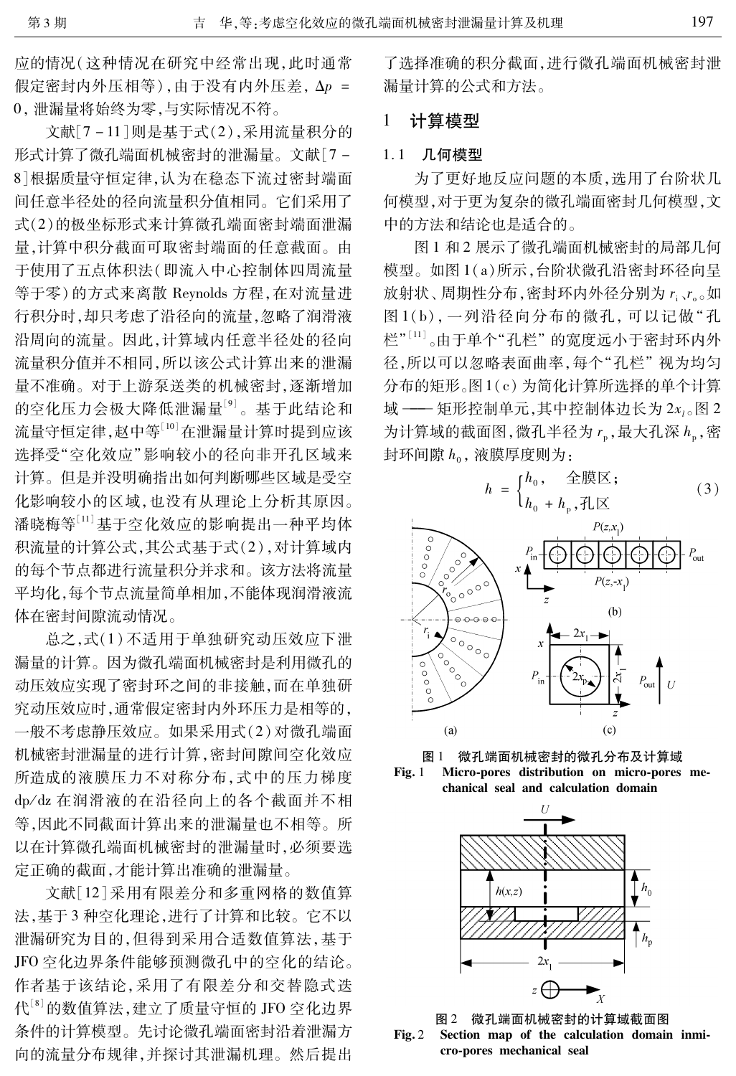应的情况(这种情况在研究中经常出现,此时通常 假定密封内外压相等),由于没有内外压差, Δp = 0, 泄漏量将始终为零, 与实际情况不符。

文献「7-11]则是基于式(2),采用流量积分的 形式计算了微孔端面机械密封的泄漏量。文献「7-8 根据质量守恒定律,认为在稳态下流过密封端面 间任意半径处的径向流量积分值相同。它们采用了 式(2)的极坐标形式来计算微孔端面密封端面泄漏 量. 计算中积分截面可取密封端面的任意截面。由 于使用了五点体积法(即流入中心控制体四周流量 等于零)的方式来离散 Reynolds 方程,在对流量进 行积分时,却只考虑了沿径向的流量,忽略了润滑液 沿周向的流量。因此,计算域内任意半径处的径向 流量积分值并不相同,所以该公式计算出来的泄漏 量不准确。对于上游泵送类的机械密封,逐渐增加 的空化压力会极大降低泄漏量<sup>[9]</sup>。基于此结论和 流量守恒定律,赵中等[10]在泄漏量计算时提到应该 选择受"空化效应"影响较小的径向非开孔区域来 计算。但是并没明确指出如何判断哪些区域是受空 化影响较小的区域,也没有从理论上分析其原因。 潘晓梅等[11] 基于空化效应的影响提出一种平均体 积流量的计算公式,其公式基于式(2),对计算域内 的每个节点都进行流量积分并求和。该方法将流量 平均化,每个节点流量简单相加,不能体现润滑液流 体在密封间隙流动情况。

总之,式(1)不适用于单独研究动压效应下泄 漏量的计算。因为微孔端面机械密封是利用微孔的 动压效应实现了密封环之间的非接触,而在单独研 究动压效应时,通常假定密封内外环压力是相等的, 一般不考虑静压效应。如果采用式(2)对微孔端面 机械密封泄漏量的进行计算,密封间隙间空化效应 所造成的液膜压力不对称分布,式中的压力梯度 dp/dz 在润滑液的在沿径向上的各个截面并不相 等,因此不同截面计算出来的泄漏量也不相等。所 以在计算微孔端面机械密封的泄漏量时,必须要选 定正确的截面,才能计算出准确的泄漏量。

文献[12]采用有限差分和多重网格的数值算 法,基于3种空化理论,进行了计算和比较。它不以 泄漏研究为目的,但得到采用合适数值算法,基于 IFO 空化边界条件能够预测微孔中的空化的结论。 作者基于该结论,采用了有限差分和交替隐式迭 代[8] 的数值算法,建立了质量守恒的 JFO 空化边界 条件的计算模型。先讨论微孔端面密封沿着泄漏方 向的流量分布规律,并探讨其泄漏机理。然后提出

了选择准确的积分截面,进行微孔端面机械密封泄 漏量计算的公式和方法。

#### 计算模型 1

### 1.1 几何模型

为了更好地反应问题的本质,选用了台阶状几 何模型,对于更为复杂的微孔端面密封几何模型,文 中的方法和结论也是适合的。

图 1 和 2 展示了微孔端面机械密封的局部几何 模型。如图 1(a)所示,台阶状微孔沿密封环径向呈 放射状、周期性分布,密封环内外径分别为r、r。如 图1(b), 一列沿径向分布的微孔, 可以记做"孔 栏"[11]。由于单个"孔栏"的宽度远小于密封环内外 径,所以可以忽略表面曲率,每个"孔栏"视为均匀 分布的矩形。图1(c)为简化计算所选择的单个计算 域 -- 矩形控制单元,其中控制体边长为 2x1。图 2 为计算域的截面图,微孔半径为r。,最大孔深h。,密 封环间隙 h<sub>0</sub>, 液膜厚度则为:

$$
h = \begin{cases} h_0, & \text{if } \mathbb{R} \\ h_0 + h_0, \text{if } \mathbb{R} \end{cases} \tag{3}
$$



图 1 微孔端面机械密封的微孔分布及计算域

Micro-pores distribution on micro-pores me- $Fig. 1$ chanical seal and calculation domain



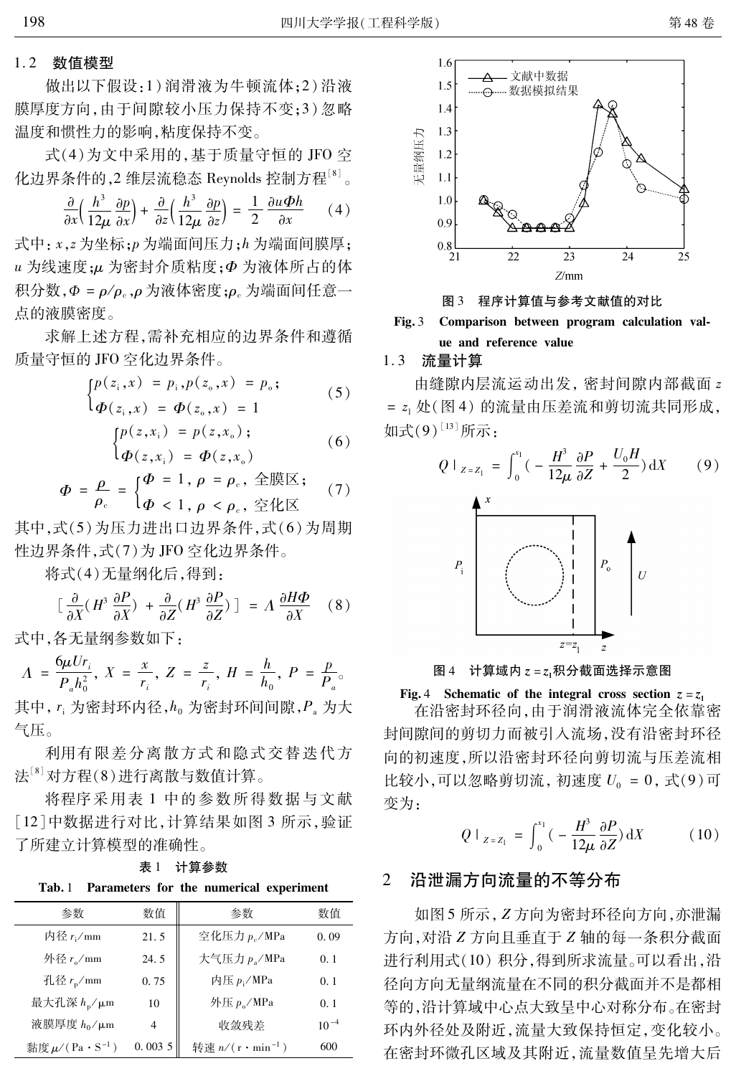# 1.2 数值模型

做出以下假设:1)润滑液为牛顿流体;2)沿液 膜厚度方向,由于间隙较小压力保持不变;3)忽略 温度和惯性力的影响,粘度保持不变。

式(4)为文中采用的, 基于质量守恒的 IFO 空 化边界条件的,2 维层流稳态 Reynolds 控制方程[8]。

$$
\frac{\partial}{\partial x}\left(\frac{h^3}{12\mu}\frac{\partial p}{\partial x}\right) + \frac{\partial}{\partial z}\left(\frac{h^3}{12\mu}\frac{\partial p}{\partial z}\right) = \frac{1}{2}\frac{\partial u\Phi h}{\partial x} \qquad (4)
$$

式中: x,z 为坐标;p 为端面间压力;h 为端面间膜厚; u 为线速度;µ 为密封介质粘度; p 为液体所占的体 积分数, Φ = ρ/ρ<sub>c</sub>, ρ 为液体密度; ρ<sub>c</sub> 为端面间任意一 点的液膜密度。

求解上述方程,需补充相应的边界条件和遵循 质量守恒的 JFO 空化边界条件。

$$
\begin{cases} p(z_i, x) = p_i, p(z_0, x) = p_0; \\ \varphi(z_i, x) = \varphi(z_0, x) = 1 \end{cases}
$$
 (5)

$$
\begin{cases}\np(z, x_i) = p(z, x_o);\n\Phi(z, x_i) = \Phi(z, x_i)\n\end{cases} \tag{6}
$$

$$
\Phi = \frac{\rho}{\rho_c} = \begin{cases} \Phi = 1, \rho = \rho_c, \triangleleft \mathbb{R} \times \mathbb{R} \\ \Phi < 1, \rho < \rho_c, \triangleleft \mathbb{R} \times \mathbb{R} \end{cases} \tag{7}
$$

其中,式(5)为压力进出口边界条件,式(6)为周期 性边界条件,式(7)为JFO 空化边界条件。

将式(4)无量纲化后,得到:

$$
\left[\frac{\partial}{\partial X}(H^3 \frac{\partial P}{\partial X}) + \frac{\partial}{\partial Z}(H^3 \frac{\partial P}{\partial Z})\right] = \Lambda \frac{\partial H\Phi}{\partial X} \quad (8)
$$

式中,各无量纲参数如下:

$$
A = \frac{6\mu U r_i}{P_a h_0^2}, X = \frac{x}{r_i}, Z = \frac{z}{r_i}, H = \frac{h}{h_0}, P = \frac{p}{P_a}
$$

其中, r; 为密封环内径, h。为密封环间间隙, P, 为大 气压。

利用有限差分离散方式和隐式交替迭代方 法[8] 对方程(8)进行离散与数值计算。

将程序采用表 1 中的参数所得数据与文献 [12]中数据进行对比,计算结果如图 3 所示,验证 了所建立计算模型的准确性。

表 1 计算参数

Tab. 1 Parameters for the numerical experiment

| 参数                              | 数值             | 参数                         | 数值        |
|---------------------------------|----------------|----------------------------|-----------|
| 内径 $r_i$ /mm                    | 21.5           | 空化压力 p <sub>c</sub> /MPa   | 0.09      |
| 外径 $r_{\rm o}/$ mm              | 24.5           | 大气压力 $p_a/MPa$             | 0.1       |
| 孔径 $r_{\rm p}/\rm{mm}$          | 0.75           | 内压 p <sub>i</sub> /MPa     | 0.1       |
| 最大孔深 $h_p/\mu$ m                | 10             | 外压 $p_{o}$ /MPa            | 0.1       |
| 液膜厚度 $h_0/\mu$ m                | $\overline{4}$ | 收敛残差                       | $10^{-4}$ |
| 黏度 $\mu$ /(Pa·S <sup>-1</sup> ) | 0.0035         | 转速 $n/(r \cdot \min^{-1})$ | 600       |



程序计算值与参考文献值的对比 图 3

### Comparison between program calculation val- $Fig. 3$ ue and reference value

# 1.3 流量计算

由缝隙内层流运动出发, 密封间隙内部截面 z = z1 处(图4)的流量由压差流和剪切流共同形成, 如式(9)[13] 所示:



图 4 计算域内  $z = z$ ,积分截面选择示意图

Fig. 4 Schematic of the integral cross section  $z = z_1$ 

在沿密封环径向,由于润滑液流体完全依靠密 封间隙间的剪切力而被引入流场,没有沿密封环径 向的初速度,所以沿密封环径向剪切流与压差流相 比较小,可以忽略剪切流, 初速度 $U_0 = 0$ , 式 $(9)$ 可 变为:

$$
Q \mid_{Z = Z_1} = \int_0^{x_1} \left( -\frac{H^3}{12\mu} \frac{\partial P}{\partial Z} \right) dX \tag{10}
$$

### 沿泄漏方向流量的不等分布  $\overline{2}$

如图 5 所示, Z 方向为密封环径向方向, 亦泄漏 方向,对沿 Z 方向且垂直于 Z 轴的每一条积分截面 进行利用式(10) 积分, 得到所求流量。可以看出, 沿 径向方向无量纲流量在不同的积分截面并不是都相 等的,沿计算域中心点大致呈中心对称分布。在密封 环内外径处及附近,流量大致保持恒定,变化较小。 在密封环微孔区域及其附近,流量数值呈先增大后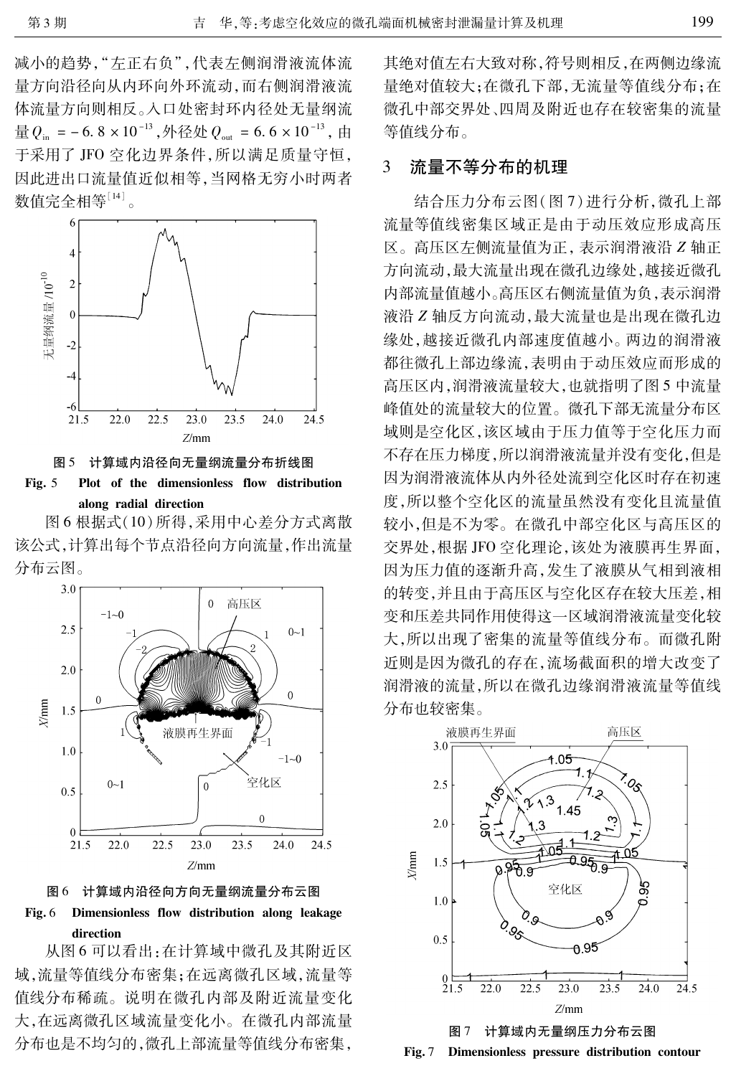减小的趋势,"左正右负",代表左侧润滑液流体流 量方向沿径向从内环向外环流动,而右侧润滑液流 体流量方向则相反。入口处密封环内径处无量纲流 量 $Q_{\text{in}} = -6.8 \times 10^{-13}$ , 外径处  $Q_{\text{out}} = 6.6 \times 10^{-13}$ , 由 于采用了 JFO 空化边界条件,所以满足质量守恒, 因此进出口流量值近似相等,当网格无穷小时两者 数值完全相等[14]。



图 5 计算域内沿径向无量纲流量分布折线图

Fig.  $5$ Plot of the dimensionless flow distribution along radial direction

图 6 根据式(10) 所得, 采用中心差分方式离散 该公式,计算出每个节点沿径向方向流量,作出流量 分布云图。







从图6可以看出:在计算域中微孔及其附近区 域,流量等值线分布密集;在远离微孔区域,流量等 值线分布稀疏。说明在微孔内部及附近流量变化 大,在远离微孔区域流量变化小。在微孔内部流量 分布也是不均匀的,微孔上部流量等值线分布密集, 其绝对值左右大致对称,符号则相反,在两侧边缘流 量绝对值较大;在微孔下部,无流量等值线分布;在 微孔中部交界处、四周及附近也存在较密集的流量 等值线分布。

#### 流量不等分布的机理  $\mathcal{E}$

结合压力分布云图(图7)进行分析,微孔上部 流量等值线密集区域正是由于动压效应形成高压 区。高压区左侧流量值为正,表示润滑液沿 Z 轴正 方向流动,最大流量出现在微孔边缘处,越接近微孔 内部流量值越小。高压区右侧流量值为负,表示润滑 液沿 Z 轴反方向流动, 最大流量也是出现在微孔边 缘处, 越接近微孔内部速度值越小。两边的润滑液 都往微孔上部边缘流,表明由于动压效应而形成的 高压区内,润滑液流量较大,也就指明了图5中流量 峰值处的流量较大的位置。微孔下部无流量分布区 域则是空化区,该区域由于压力值等于空化压力而 不存在压力梯度,所以润滑液流量并没有变化,但是 因为润滑液流体从内外径处流到空化区时存在初速 度,所以整个空化区的流量虽然没有变化且流量值 较小,但是不为零。在微孔中部空化区与高压区的 交界处,根据 JFO 空化理论,该处为液膜再生界面, 因为压力值的逐渐升高,发生了液膜从气相到液相 的转变,并且由于高压区与空化区存在较大压差,相 变和压差共同作用使得这一区域润滑液流量变化较 大,所以出现了密集的流量等值线分布。而微孔附 近则是因为微孔的存在,流场截面积的增大改变了 润滑液的流量,所以在微孔边缘润滑液流量等值线 分布也较密集。



图 7 计算域内无量纲压力分布云图  $Fig. 7$ Dimensionless pressure distribution contour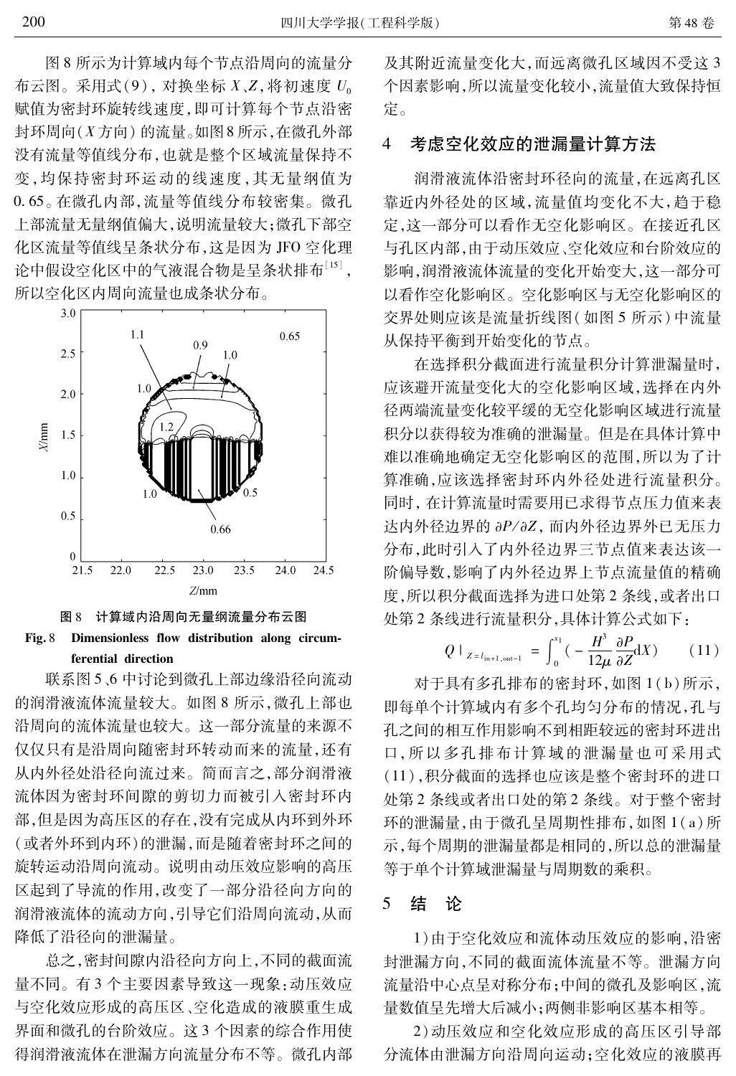图 8 所示为计算域内每个节点沿周向的流量分 布云图。采用式(9), 对换坐标  $X, Z$ , 将初速度  $U_0$ 赋值为密封环旋转线速度,即可计算每个节点沿密 封环周向(X方向)的流量。如图8所示,在微孔外部 没有流量等值线分布,也就是整个区域流量保持不 变,均保持密封环运动的线速度,其无量纲值为 0.65。在微孔内部,流量等值线分布较密集。微孔 上部流量无量纲值偏大,说明流量较大;微孔下部空 化区流量等值线呈条状分布,这是因为 JFO 空化理 论中假设空化区中的气液混合物是呈条状排布[15], 所以空化区内周向流量也成条状分布。





联系图 5、6 中讨论到微孔上部边缘沿径向流动 的润滑液流体流量较大。如图 8 所示, 微孔上部也 沿周向的流体流量也较大。这一部分流量的来源不 仅仅只有是沿周向随密封环转动而来的流量,还有 从内外径处沿径向流过来。简而言之,部分润滑液 流体因为密封环间隙的剪切力而被引入密封环内 部,但是因为高压区的存在,没有完成从内环到外环 (或者外环到内环)的泄漏,而是随着密封环之间的 旋转运动沿周向流动。说明由动压效应影响的高压 区起到了导流的作用,改变了一部分沿径向方向的 润滑液流体的流动方向,引导它们沿周向流动,从而 降低了沿径向的泄漏量。

总之,密封间隙内沿径向方向上,不同的截面流 量不同。有3个主要因素导致这一现象:动压效应 与空化效应形成的高压区、空化造成的液膜重生成 界面和微孔的台阶效应。这3个因素的综合作用使 得润滑液流体在泄漏方向流量分布不等。微孔内部 及其附近流量变化大,而远离微孔区域因不受这3 个因素影响,所以流量变化较小,流量值大致保持恒 定。

### $\overline{4}$ 考虑空化效应的泄漏量计算方法

润滑液流体沿密封环径向的流量,在远离孔区 靠近内外径处的区域,流量值均变化不大,趋于稳 定,这一部分可以看作无空化影响区。在接近孔区 与孔区内部,由于动压效应、空化效应和台阶效应的 影响,润滑液流体流量的变化开始变大,这一部分可 以看作空化影响区。空化影响区与无空化影响区的 交界处则应该是流量折线图(如图 5 所示)中流量 从保持平衡到开始变化的节点。

在选择积分截面进行流量积分计算泄漏量时, 应该避开流量变化大的空化影响区域,选择在内外 径两端流量变化较平缓的无空化影响区域进行流量 积分以获得较为准确的泄漏量。但是在具体计算中 难以准确地确定无空化影响区的范围,所以为了计 算准确,应该选择密封环内外径处进行流量积分。 同时, 在计算流量时需要用已求得节点压力值来表 达内外径边界的 aP/aZ, 而内外径边界外已无压力 分布,此时引入了内外径边界三节点值来表达该一 阶偏导数,影响了内外径边界上节点流量值的精确 度,所以积分截面选择为进口处第2条线,或者出口 处第2条线进行流量积分,具体计算公式如下:

$$
Q \mid_{Z = l_{\text{in}+1, \text{out}-1}} = \int_0^{x_1} \left( -\frac{H^3}{12\mu} \frac{\partial P}{\partial Z} \mathrm{d}X \right) \tag{11}
$$

对于具有多孔排布的密封环,如图 1(b)所示, 即每单个计算域内有多个孔均匀分布的情况,孔与 孔之间的相互作用影响不到相距较远的密封环进出 口,所以多孔排布计算域的泄漏量也可采用式 (11),积分截面的选择也应该是整个密封环的进口 处第2条线或者出口处的第2条线。对于整个密封 环的泄漏量,由于微孔呈周期性排布,如图 1(a)所 示,每个周期的泄漏量都是相同的,所以总的泄漏量 等于单个计算域泄漏量与周期数的乘积。

#### 5 结 一论

1)由于空化效应和流体动压效应的影响,沿密 封泄漏方向,不同的截面流体流量不等。泄漏方向 流量沿中心点呈对称分布;中间的微孔及影响区,流 量数值呈先增大后减小:两侧非影响区基本相等。

2)动压效应和空化效应形成的高压区引导部 分流体由泄漏方向沿周向运动;空化效应的液膜再